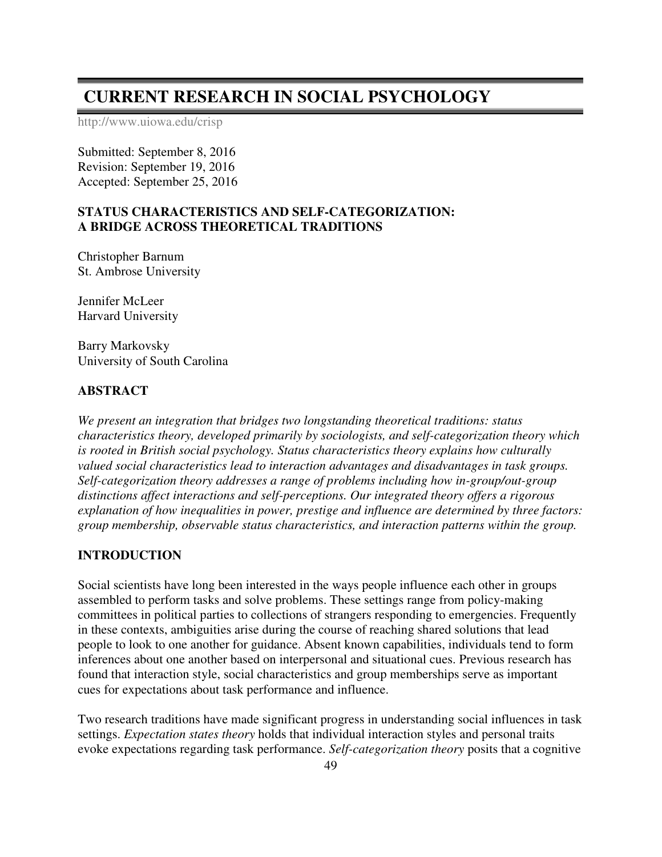# **CURRENT RESEARCH IN SOCIAL PSYCHOLOGY**

http://www.uiowa.edu/crisp

Submitted: September 8, 2016 Revision: September 19, 2016 Accepted: September 25, 2016

## **STATUS CHARACTERISTICS AND SELF-CATEGORIZATION: A BRIDGE ACROSS THEORETICAL TRADITIONS**

Christopher Barnum St. Ambrose University

Jennifer McLeer Harvard University

Barry Markovsky University of South Carolina

### **ABSTRACT**

*We present an integration that bridges two longstanding theoretical traditions: status characteristics theory, developed primarily by sociologists, and self-categorization theory which is rooted in British social psychology. Status characteristics theory explains how culturally valued social characteristics lead to interaction advantages and disadvantages in task groups. Self-categorization theory addresses a range of problems including how in-group/out-group distinctions affect interactions and self-perceptions. Our integrated theory offers a rigorous explanation of how inequalities in power, prestige and influence are determined by three factors: group membership, observable status characteristics, and interaction patterns within the group.* 

#### **INTRODUCTION**

Social scientists have long been interested in the ways people influence each other in groups assembled to perform tasks and solve problems. These settings range from policy-making committees in political parties to collections of strangers responding to emergencies. Frequently in these contexts, ambiguities arise during the course of reaching shared solutions that lead people to look to one another for guidance. Absent known capabilities, individuals tend to form inferences about one another based on interpersonal and situational cues. Previous research has found that interaction style, social characteristics and group memberships serve as important cues for expectations about task performance and influence.

Two research traditions have made significant progress in understanding social influences in task settings. *Expectation states theory* holds that individual interaction styles and personal traits evoke expectations regarding task performance. *Self-categorization theory* posits that a cognitive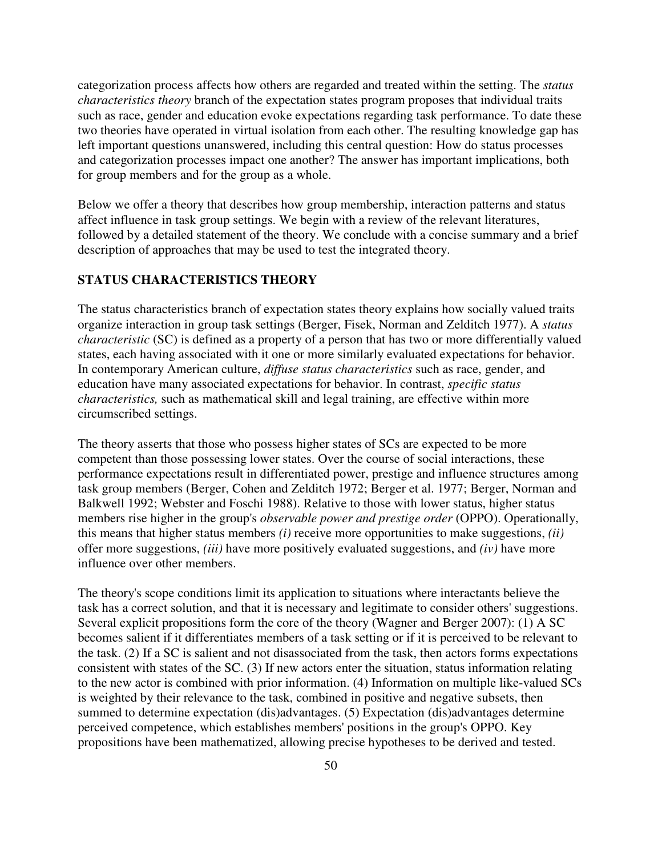categorization process affects how others are regarded and treated within the setting. The *status characteristics theory* branch of the expectation states program proposes that individual traits such as race, gender and education evoke expectations regarding task performance. To date these two theories have operated in virtual isolation from each other. The resulting knowledge gap has left important questions unanswered, including this central question: How do status processes and categorization processes impact one another? The answer has important implications, both for group members and for the group as a whole.

Below we offer a theory that describes how group membership, interaction patterns and status affect influence in task group settings. We begin with a review of the relevant literatures, followed by a detailed statement of the theory. We conclude with a concise summary and a brief description of approaches that may be used to test the integrated theory.

# **STATUS CHARACTERISTICS THEORY**

The status characteristics branch of expectation states theory explains how socially valued traits organize interaction in group task settings (Berger, Fisek, Norman and Zelditch 1977). A *status characteristic* (SC) is defined as a property of a person that has two or more differentially valued states, each having associated with it one or more similarly evaluated expectations for behavior. In contemporary American culture, *diffuse status characteristics* such as race, gender, and education have many associated expectations for behavior. In contrast, *specific status characteristics,* such as mathematical skill and legal training, are effective within more circumscribed settings.

The theory asserts that those who possess higher states of SCs are expected to be more competent than those possessing lower states. Over the course of social interactions, these performance expectations result in differentiated power, prestige and influence structures among task group members (Berger, Cohen and Zelditch 1972; Berger et al. 1977; Berger, Norman and Balkwell 1992; Webster and Foschi 1988). Relative to those with lower status, higher status members rise higher in the group's *observable power and prestige order* (OPPO). Operationally, this means that higher status members *(i)* receive more opportunities to make suggestions, *(ii)*  offer more suggestions, *(iii)* have more positively evaluated suggestions, and *(iv)* have more influence over other members.

The theory's scope conditions limit its application to situations where interactants believe the task has a correct solution, and that it is necessary and legitimate to consider others' suggestions. Several explicit propositions form the core of the theory (Wagner and Berger 2007): (1) A SC becomes salient if it differentiates members of a task setting or if it is perceived to be relevant to the task. (2) If a SC is salient and not disassociated from the task, then actors forms expectations consistent with states of the SC. (3) If new actors enter the situation, status information relating to the new actor is combined with prior information. (4) Information on multiple like-valued SCs is weighted by their relevance to the task, combined in positive and negative subsets, then summed to determine expectation (dis)advantages. (5) Expectation (dis)advantages determine perceived competence, which establishes members' positions in the group's OPPO. Key propositions have been mathematized, allowing precise hypotheses to be derived and tested.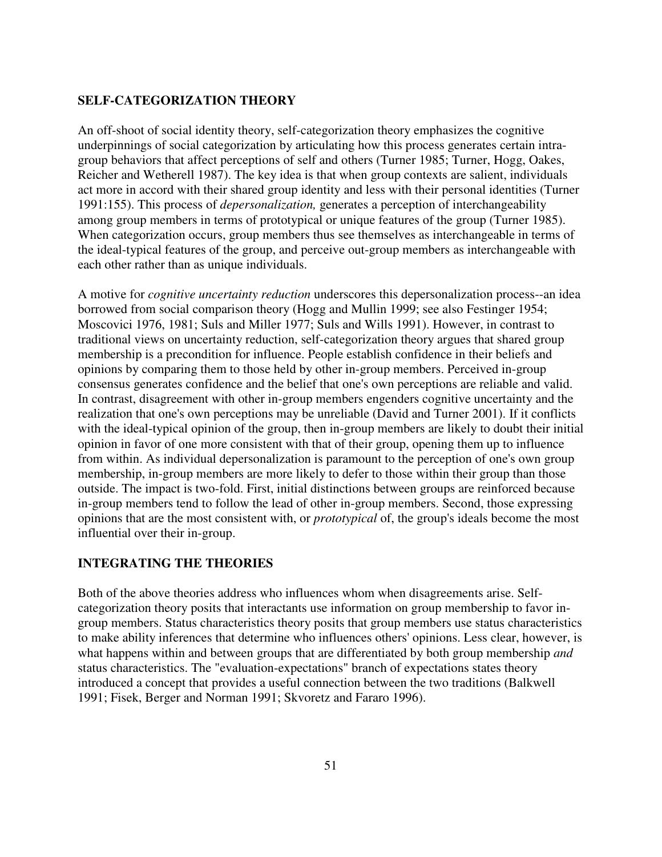### **SELF-CATEGORIZATION THEORY**

An off-shoot of social identity theory, self-categorization theory emphasizes the cognitive underpinnings of social categorization by articulating how this process generates certain intragroup behaviors that affect perceptions of self and others (Turner 1985; Turner, Hogg, Oakes, Reicher and Wetherell 1987). The key idea is that when group contexts are salient, individuals act more in accord with their shared group identity and less with their personal identities (Turner 1991:155). This process of *depersonalization,* generates a perception of interchangeability among group members in terms of prototypical or unique features of the group (Turner 1985). When categorization occurs, group members thus see themselves as interchangeable in terms of the ideal-typical features of the group, and perceive out-group members as interchangeable with each other rather than as unique individuals.

A motive for *cognitive uncertainty reduction* underscores this depersonalization process--an idea borrowed from social comparison theory (Hogg and Mullin 1999; see also Festinger 1954; Moscovici 1976, 1981; Suls and Miller 1977; Suls and Wills 1991). However, in contrast to traditional views on uncertainty reduction, self-categorization theory argues that shared group membership is a precondition for influence. People establish confidence in their beliefs and opinions by comparing them to those held by other in-group members. Perceived in-group consensus generates confidence and the belief that one's own perceptions are reliable and valid. In contrast, disagreement with other in-group members engenders cognitive uncertainty and the realization that one's own perceptions may be unreliable (David and Turner 2001). If it conflicts with the ideal-typical opinion of the group, then in-group members are likely to doubt their initial opinion in favor of one more consistent with that of their group, opening them up to influence from within. As individual depersonalization is paramount to the perception of one's own group membership, in-group members are more likely to defer to those within their group than those outside. The impact is two-fold. First, initial distinctions between groups are reinforced because in-group members tend to follow the lead of other in-group members. Second, those expressing opinions that are the most consistent with, or *prototypical* of, the group's ideals become the most influential over their in-group.

#### **INTEGRATING THE THEORIES**

Both of the above theories address who influences whom when disagreements arise. Selfcategorization theory posits that interactants use information on group membership to favor ingroup members. Status characteristics theory posits that group members use status characteristics to make ability inferences that determine who influences others' opinions. Less clear, however, is what happens within and between groups that are differentiated by both group membership *and* status characteristics. The "evaluation-expectations" branch of expectations states theory introduced a concept that provides a useful connection between the two traditions (Balkwell 1991; Fisek, Berger and Norman 1991; Skvoretz and Fararo 1996).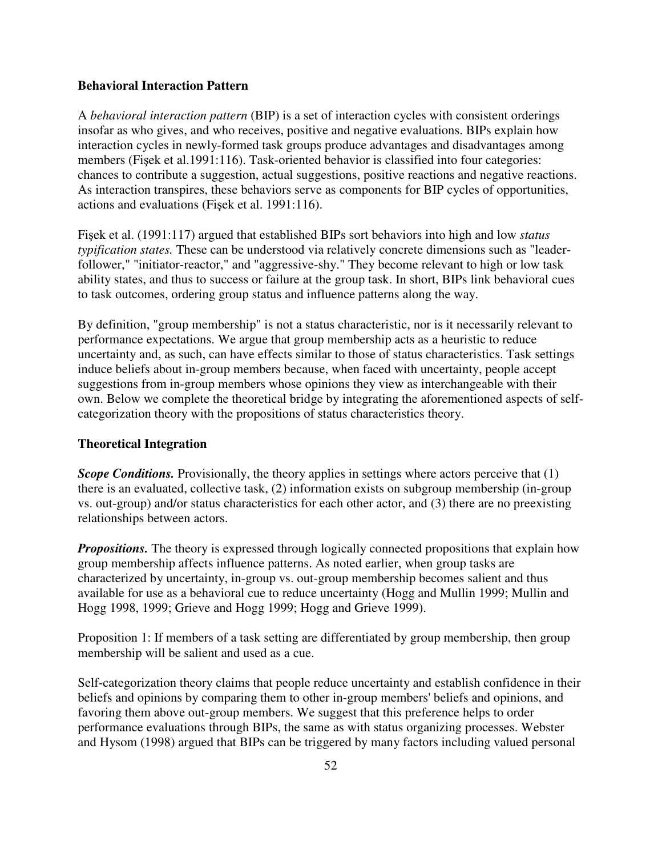#### **Behavioral Interaction Pattern**

A *behavioral interaction pattern* (BIP) is a set of interaction cycles with consistent orderings insofar as who gives, and who receives, positive and negative evaluations. BIPs explain how interaction cycles in newly-formed task groups produce advantages and disadvantages among members (Fişek et al.1991:116). Task-oriented behavior is classified into four categories: chances to contribute a suggestion, actual suggestions, positive reactions and negative reactions. As interaction transpires, these behaviors serve as components for BIP cycles of opportunities, actions and evaluations (Fişek et al. 1991:116).

Fişek et al. (1991:117) argued that established BIPs sort behaviors into high and low *status typification states.* These can be understood via relatively concrete dimensions such as "leaderfollower," "initiator-reactor," and "aggressive-shy." They become relevant to high or low task ability states, and thus to success or failure at the group task. In short, BIPs link behavioral cues to task outcomes, ordering group status and influence patterns along the way.

By definition, "group membership" is not a status characteristic, nor is it necessarily relevant to performance expectations. We argue that group membership acts as a heuristic to reduce uncertainty and, as such, can have effects similar to those of status characteristics. Task settings induce beliefs about in-group members because, when faced with uncertainty, people accept suggestions from in-group members whose opinions they view as interchangeable with their own. Below we complete the theoretical bridge by integrating the aforementioned aspects of selfcategorization theory with the propositions of status characteristics theory.

#### **Theoretical Integration**

*Scope Conditions.* Provisionally, the theory applies in settings where actors perceive that (1) there is an evaluated, collective task, (2) information exists on subgroup membership (in-group vs. out-group) and/or status characteristics for each other actor, and (3) there are no preexisting relationships between actors.

*Propositions.* The theory is expressed through logically connected propositions that explain how group membership affects influence patterns. As noted earlier, when group tasks are characterized by uncertainty, in-group vs. out-group membership becomes salient and thus available for use as a behavioral cue to reduce uncertainty (Hogg and Mullin 1999; Mullin and Hogg 1998, 1999; Grieve and Hogg 1999; Hogg and Grieve 1999).

Proposition 1: If members of a task setting are differentiated by group membership, then group membership will be salient and used as a cue.

Self-categorization theory claims that people reduce uncertainty and establish confidence in their beliefs and opinions by comparing them to other in-group members' beliefs and opinions, and favoring them above out-group members. We suggest that this preference helps to order performance evaluations through BIPs, the same as with status organizing processes. Webster and Hysom (1998) argued that BIPs can be triggered by many factors including valued personal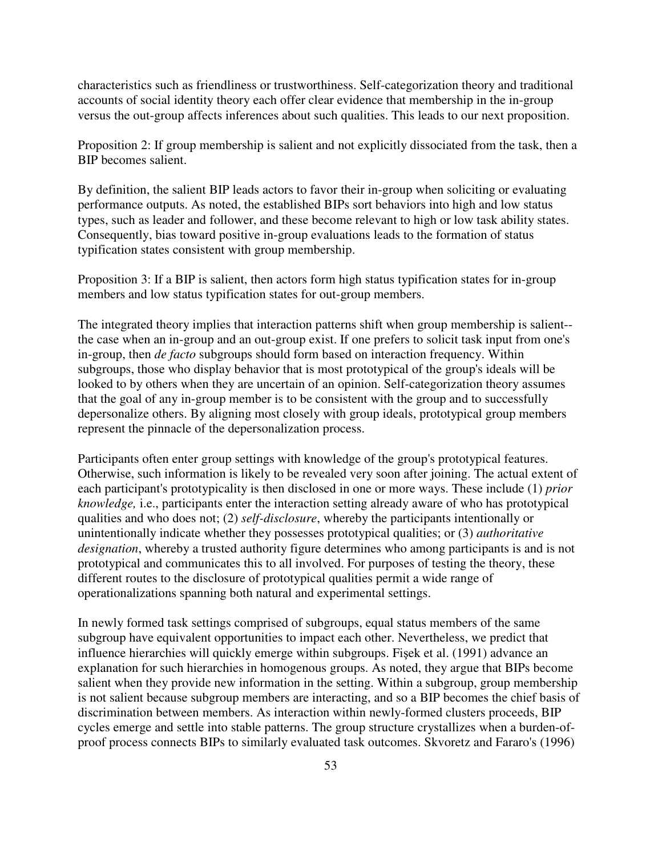characteristics such as friendliness or trustworthiness. Self-categorization theory and traditional accounts of social identity theory each offer clear evidence that membership in the in-group versus the out-group affects inferences about such qualities. This leads to our next proposition.

Proposition 2: If group membership is salient and not explicitly dissociated from the task, then a BIP becomes salient.

By definition, the salient BIP leads actors to favor their in-group when soliciting or evaluating performance outputs. As noted, the established BIPs sort behaviors into high and low status types, such as leader and follower, and these become relevant to high or low task ability states. Consequently, bias toward positive in-group evaluations leads to the formation of status typification states consistent with group membership.

Proposition 3: If a BIP is salient, then actors form high status typification states for in-group members and low status typification states for out-group members.

The integrated theory implies that interaction patterns shift when group membership is salient- the case when an in-group and an out-group exist. If one prefers to solicit task input from one's in-group, then *de facto* subgroups should form based on interaction frequency. Within subgroups, those who display behavior that is most prototypical of the group's ideals will be looked to by others when they are uncertain of an opinion. Self-categorization theory assumes that the goal of any in-group member is to be consistent with the group and to successfully depersonalize others. By aligning most closely with group ideals, prototypical group members represent the pinnacle of the depersonalization process.

Participants often enter group settings with knowledge of the group's prototypical features. Otherwise, such information is likely to be revealed very soon after joining. The actual extent of each participant's prototypicality is then disclosed in one or more ways. These include (1) *prior knowledge,* i.e., participants enter the interaction setting already aware of who has prototypical qualities and who does not; (2) *self-disclosure*, whereby the participants intentionally or unintentionally indicate whether they possesses prototypical qualities; or (3) *authoritative designation*, whereby a trusted authority figure determines who among participants is and is not prototypical and communicates this to all involved. For purposes of testing the theory, these different routes to the disclosure of prototypical qualities permit a wide range of operationalizations spanning both natural and experimental settings.

In newly formed task settings comprised of subgroups, equal status members of the same subgroup have equivalent opportunities to impact each other. Nevertheless, we predict that influence hierarchies will quickly emerge within subgroups. Fişek et al. (1991) advance an explanation for such hierarchies in homogenous groups. As noted, they argue that BIPs become salient when they provide new information in the setting. Within a subgroup, group membership is not salient because subgroup members are interacting, and so a BIP becomes the chief basis of discrimination between members. As interaction within newly-formed clusters proceeds, BIP cycles emerge and settle into stable patterns. The group structure crystallizes when a burden-ofproof process connects BIPs to similarly evaluated task outcomes. Skvoretz and Fararo's (1996)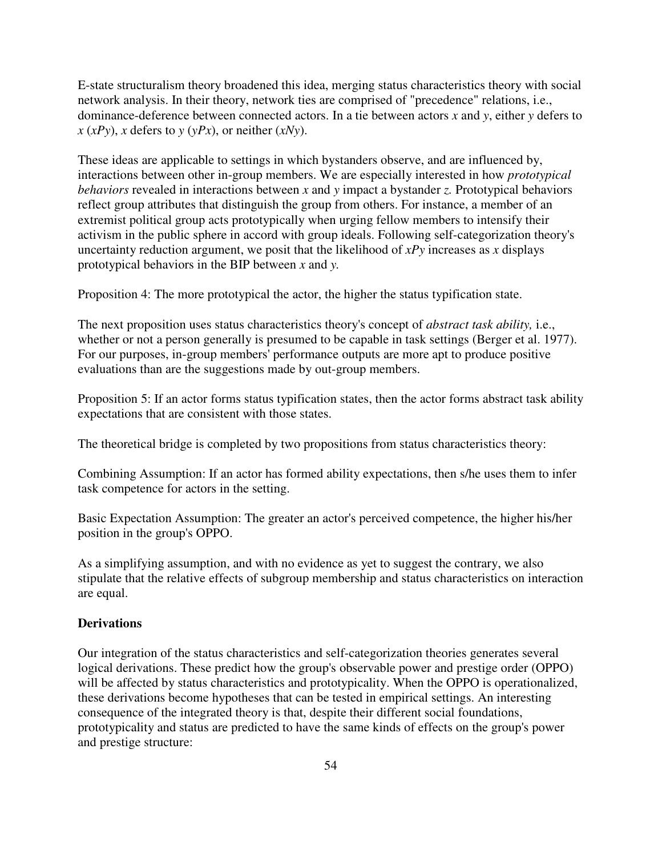E-state structuralism theory broadened this idea, merging status characteristics theory with social network analysis. In their theory, network ties are comprised of "precedence" relations, i.e., dominance-deference between connected actors. In a tie between actors *x* and *y*, either *y* defers to  $x (xPy)$ , *x* defers to *y* (*yPx*), or neither (*xNy*).

These ideas are applicable to settings in which bystanders observe, and are influenced by, interactions between other in-group members. We are especially interested in how *prototypical behaviors* revealed in interactions between *x* and *y* impact a bystander *z.* Prototypical behaviors reflect group attributes that distinguish the group from others. For instance, a member of an extremist political group acts prototypically when urging fellow members to intensify their activism in the public sphere in accord with group ideals. Following self-categorization theory's uncertainty reduction argument, we posit that the likelihood of *xPy* increases as *x* displays prototypical behaviors in the BIP between *x* and *y.* 

Proposition 4: The more prototypical the actor, the higher the status typification state.

The next proposition uses status characteristics theory's concept of *abstract task ability,* i.e., whether or not a person generally is presumed to be capable in task settings (Berger et al. 1977). For our purposes, in-group members' performance outputs are more apt to produce positive evaluations than are the suggestions made by out-group members.

Proposition 5: If an actor forms status typification states, then the actor forms abstract task ability expectations that are consistent with those states.

The theoretical bridge is completed by two propositions from status characteristics theory:

Combining Assumption: If an actor has formed ability expectations, then s/he uses them to infer task competence for actors in the setting.

Basic Expectation Assumption: The greater an actor's perceived competence, the higher his/her position in the group's OPPO.

As a simplifying assumption, and with no evidence as yet to suggest the contrary, we also stipulate that the relative effects of subgroup membership and status characteristics on interaction are equal.

### **Derivations**

Our integration of the status characteristics and self-categorization theories generates several logical derivations. These predict how the group's observable power and prestige order (OPPO) will be affected by status characteristics and prototypicality. When the OPPO is operationalized, these derivations become hypotheses that can be tested in empirical settings. An interesting consequence of the integrated theory is that, despite their different social foundations, prototypicality and status are predicted to have the same kinds of effects on the group's power and prestige structure: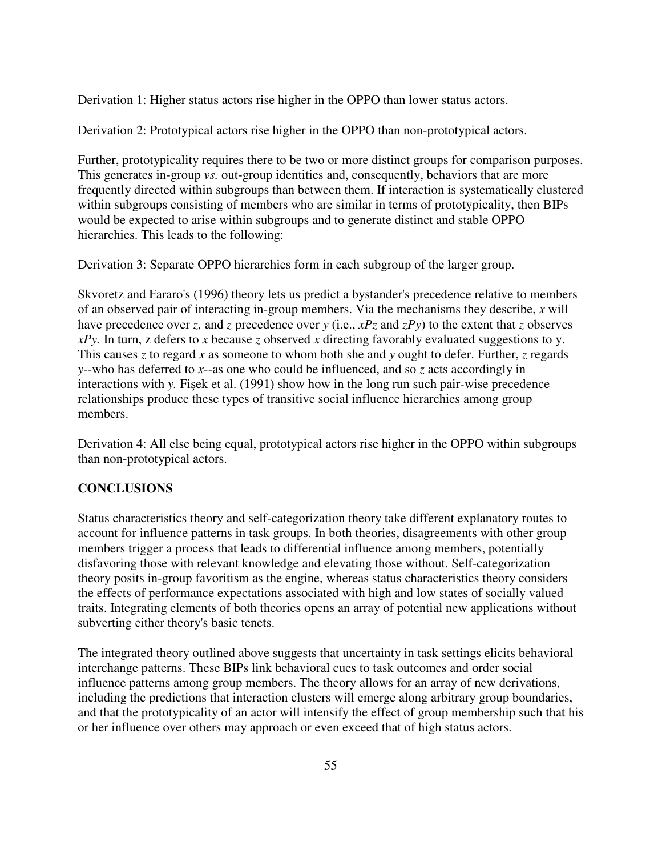Derivation 1: Higher status actors rise higher in the OPPO than lower status actors.

Derivation 2: Prototypical actors rise higher in the OPPO than non-prototypical actors.

Further, prototypicality requires there to be two or more distinct groups for comparison purposes. This generates in-group *vs.* out-group identities and, consequently, behaviors that are more frequently directed within subgroups than between them. If interaction is systematically clustered within subgroups consisting of members who are similar in terms of prototypicality, then BIPs would be expected to arise within subgroups and to generate distinct and stable OPPO hierarchies. This leads to the following:

Derivation 3: Separate OPPO hierarchies form in each subgroup of the larger group.

Skvoretz and Fararo's (1996) theory lets us predict a bystander's precedence relative to members of an observed pair of interacting in-group members. Via the mechanisms they describe, *x* will have precedence over *z*, and *z* precedence over *y* (i.e.,  $xPz$  and  $zPy$ ) to the extent that *z* observes *xPy.* In turn, z defers to *x* because *z* observed *x* directing favorably evaluated suggestions to y. This causes *z* to regard *x* as someone to whom both she and *y* ought to defer. Further, *z* regards *y*--who has deferred to *x*--as one who could be influenced, and so *z* acts accordingly in interactions with *y.* Fişek et al. (1991) show how in the long run such pair-wise precedence relationships produce these types of transitive social influence hierarchies among group members.

Derivation 4: All else being equal, prototypical actors rise higher in the OPPO within subgroups than non-prototypical actors.

### **CONCLUSIONS**

Status characteristics theory and self-categorization theory take different explanatory routes to account for influence patterns in task groups. In both theories, disagreements with other group members trigger a process that leads to differential influence among members, potentially disfavoring those with relevant knowledge and elevating those without. Self-categorization theory posits in-group favoritism as the engine, whereas status characteristics theory considers the effects of performance expectations associated with high and low states of socially valued traits. Integrating elements of both theories opens an array of potential new applications without subverting either theory's basic tenets.

The integrated theory outlined above suggests that uncertainty in task settings elicits behavioral interchange patterns. These BIPs link behavioral cues to task outcomes and order social influence patterns among group members. The theory allows for an array of new derivations, including the predictions that interaction clusters will emerge along arbitrary group boundaries, and that the prototypicality of an actor will intensify the effect of group membership such that his or her influence over others may approach or even exceed that of high status actors.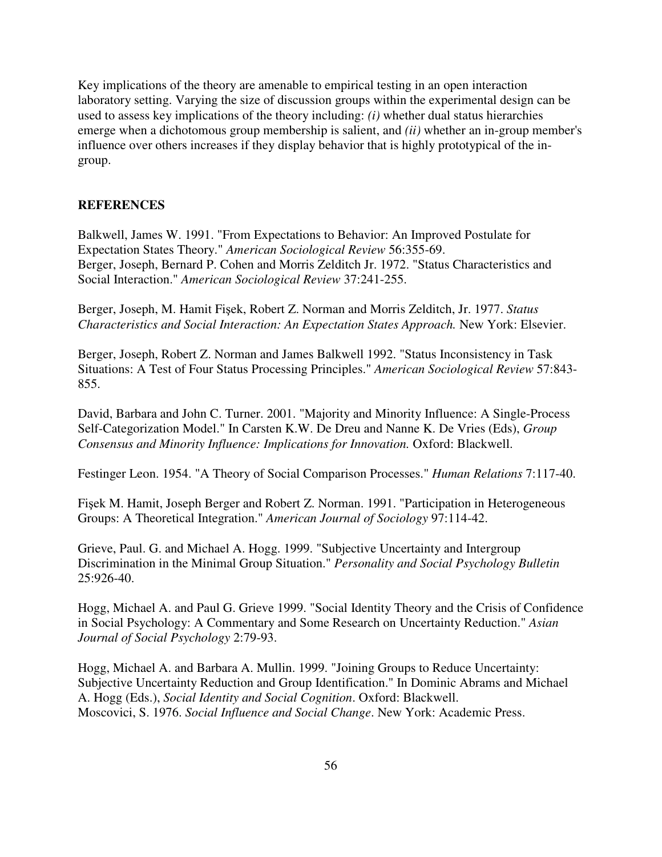Key implications of the theory are amenable to empirical testing in an open interaction laboratory setting. Varying the size of discussion groups within the experimental design can be used to assess key implications of the theory including: *(i)* whether dual status hierarchies emerge when a dichotomous group membership is salient, and *(ii)* whether an in-group member's influence over others increases if they display behavior that is highly prototypical of the ingroup.

## **REFERENCES**

Balkwell, James W. 1991. "From Expectations to Behavior: An Improved Postulate for Expectation States Theory." *American Sociological Review* 56:355-69. Berger, Joseph, Bernard P. Cohen and Morris Zelditch Jr. 1972. "Status Characteristics and Social Interaction." *American Sociological Review* 37:241-255.

Berger, Joseph, M. Hamit Fişek, Robert Z. Norman and Morris Zelditch, Jr. 1977. *Status Characteristics and Social Interaction: An Expectation States Approach.* New York: Elsevier.

Berger, Joseph, Robert Z. Norman and James Balkwell 1992. "Status Inconsistency in Task Situations: A Test of Four Status Processing Principles." *American Sociological Review* 57:843- 855.

David, Barbara and John C. Turner. 2001. "Majority and Minority Influence: A Single-Process Self-Categorization Model." In Carsten K.W. De Dreu and Nanne K. De Vries (Eds), *Group Consensus and Minority Influence: Implications for Innovation.* Oxford: Blackwell.

Festinger Leon. 1954. "A Theory of Social Comparison Processes." *Human Relations* 7:117-40.

Fişek M. Hamit, Joseph Berger and Robert Z. Norman. 1991. "Participation in Heterogeneous Groups: A Theoretical Integration." *American Journal of Sociology* 97:114-42.

Grieve, Paul. G. and Michael A. Hogg. 1999. "Subjective Uncertainty and Intergroup Discrimination in the Minimal Group Situation." *Personality and Social Psychology Bulletin* 25:926-40.

Hogg, Michael A. and Paul G. Grieve 1999. "Social Identity Theory and the Crisis of Confidence in Social Psychology: A Commentary and Some Research on Uncertainty Reduction." *Asian Journal of Social Psychology* 2:79-93.

Hogg, Michael A. and Barbara A. Mullin. 1999. "Joining Groups to Reduce Uncertainty: Subjective Uncertainty Reduction and Group Identification." In Dominic Abrams and Michael A. Hogg (Eds.), *Social Identity and Social Cognition*. Oxford: Blackwell. Moscovici, S. 1976. *Social Influence and Social Change*. New York: Academic Press.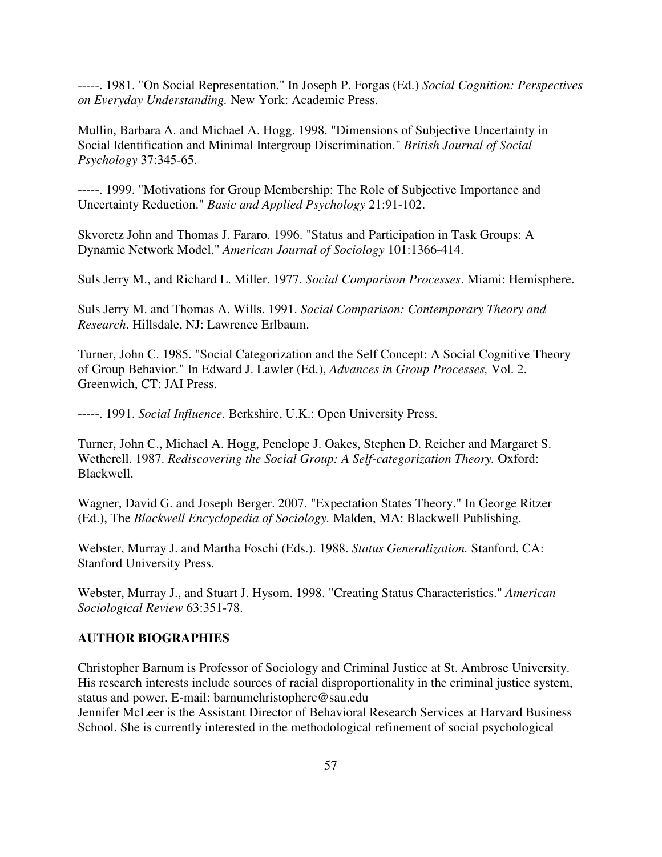-----. 1981. "On Social Representation." In Joseph P. Forgas (Ed.) *Social Cognition: Perspectives on Everyday Understanding.* New York: Academic Press.

Mullin, Barbara A. and Michael A. Hogg. 1998. "Dimensions of Subjective Uncertainty in Social Identification and Minimal Intergroup Discrimination." *British Journal of Social Psychology* 37:345-65.

-----. 1999. "Motivations for Group Membership: The Role of Subjective Importance and Uncertainty Reduction." *Basic and Applied Psychology* 21:91-102.

Skvoretz John and Thomas J. Fararo. 1996. "Status and Participation in Task Groups: A Dynamic Network Model." *American Journal of Sociology* 101:1366-414.

Suls Jerry M., and Richard L. Miller. 1977. *Social Comparison Processes*. Miami: Hemisphere.

Suls Jerry M. and Thomas A. Wills. 1991. *Social Comparison: Contemporary Theory and Research*. Hillsdale, NJ: Lawrence Erlbaum.

Turner, John C. 1985. "Social Categorization and the Self Concept: A Social Cognitive Theory of Group Behavior." In Edward J. Lawler (Ed.), *Advances in Group Processes,* Vol. 2. Greenwich, CT: JAI Press.

-----. 1991. *Social Influence.* Berkshire, U.K.: Open University Press.

Turner, John C., Michael A. Hogg, Penelope J. Oakes, Stephen D. Reicher and Margaret S. Wetherell. 1987. *Rediscovering the Social Group: A Self-categorization Theory.* Oxford: Blackwell.

Wagner, David G. and Joseph Berger. 2007. "Expectation States Theory." In George Ritzer (Ed.), The *Blackwell Encyclopedia of Sociology.* Malden, MA: Blackwell Publishing.

Webster, Murray J. and Martha Foschi (Eds.). 1988. *Status Generalization.* Stanford, CA: Stanford University Press.

Webster, Murray J., and Stuart J. Hysom. 1998. "Creating Status Characteristics." *American Sociological Review* 63:351-78.

### **AUTHOR BIOGRAPHIES**

Christopher Barnum is Professor of Sociology and Criminal Justice at St. Ambrose University. His research interests include sources of racial disproportionality in the criminal justice system, status and power. E-mail: barnumchristopherc@sau.edu

Jennifer McLeer is the Assistant Director of Behavioral Research Services at Harvard Business School. She is currently interested in the methodological refinement of social psychological